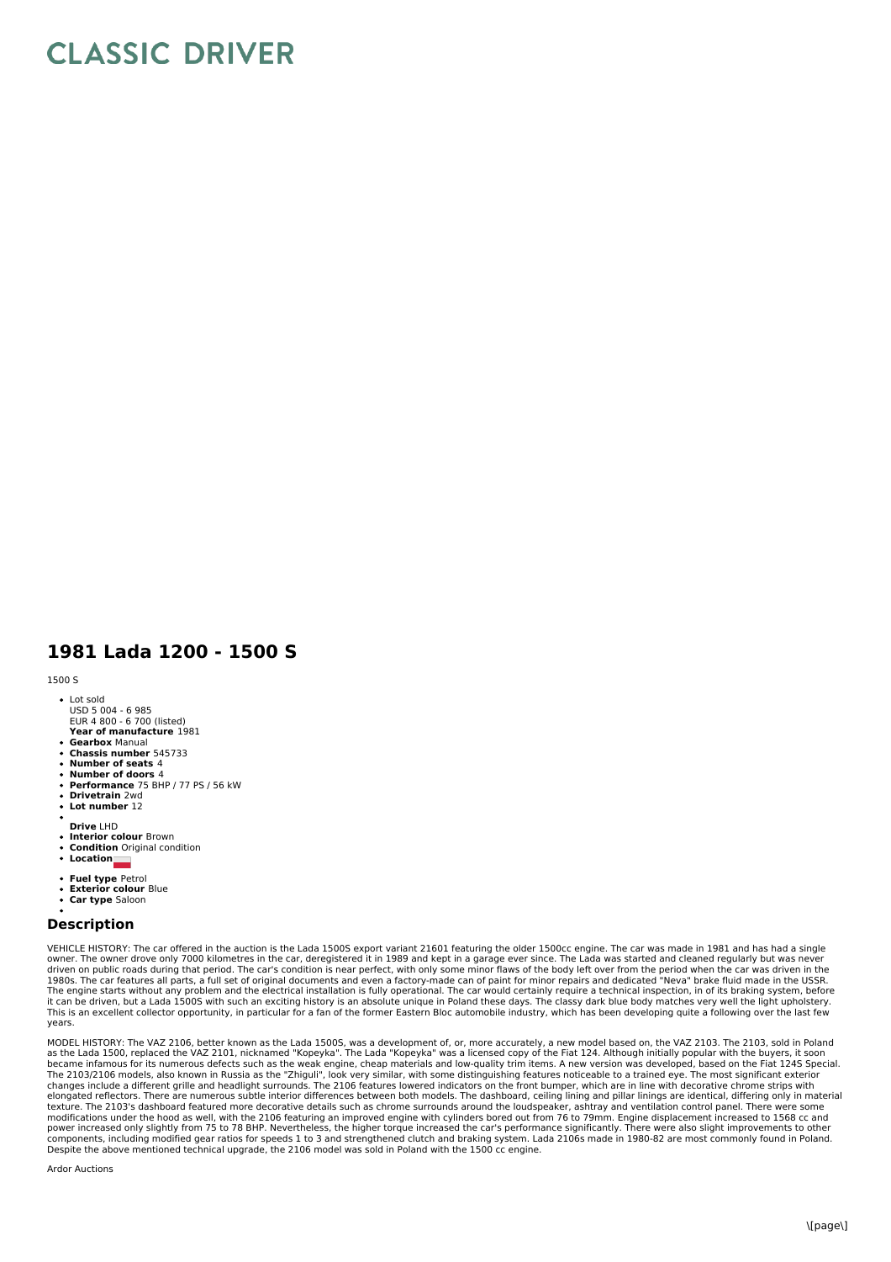## **CLASSIC DRIVER**

## **1981 Lada 1200 - 1500 S**

1500 S

- Lot sold USD 5 004 - 6 985 EUR 4 800 - 6 700 (listed)
- **Year of manufacture** 1981
- **Gearbox** Manual **Chassis number** 545733
- **Number of seats** 4
- **Number of doors** 4
- **Performance** 75 BHP / 77 PS / 56 kW **Drivetrain** 2wd
- 
- **Lot number** 12
- **Drive** LHD
- **Interior colour** Brown
- **Condition** Original condition
- **Location**
- **Fuel type** Petrol
- **Exterior colour** Blue
- **Car type** Saloon

## **Description**

VEHICLE HISTORY: The car offered in the auction is the Lada 1500S export variant 21601 featuring the older 1500cc engine. The car was made in 1981 and has had a single<br>owner. The owner drove only 7000 kilometres in the car driven on public roads during that period. The car's condition is near perfect, with only some minor flaws of the body left over from the period when the car was driven in the<br>1980s. The car features all parts, a full set The engine starts without any problem and the electrical installation is fully operational. The car would certainly require a technical inspection, in of its braking system, before<br>it can be driven, but a Lada 1500S with s This is an excellent collector opportunity, in particular for a fan of the former Eastern Bloc automobile industry, which has been developing quite a following over the last few years.

MODEL HISTORY: The VAZ 2106, better known as the Lada 1500S, was a development of, or, more accurately, a new model based on, the VAZ 2103. The 2103, sold in Poland<br>as the Lada 1500, replaced the VAZ 2101, nicknamed "Kopey elongated reflectors. There are numerous subtle interior differences between both models. The dashboard, ceiling lining and pillar linings are identical, differing only in material<br>texture. The 2103's dashboard featured mo modifications under the hood as well, with the 2106 featuring an improved engine with cylinders bored out from 76 to 79mm. Engine displacement increased to 1568 cc and<br>power increased only slightly from 75 to 78 BHP. Never Despite the above mentioned technical upgrade, the 2106 model was sold in Poland with the 1500 cc engine.

Ardor Auctions